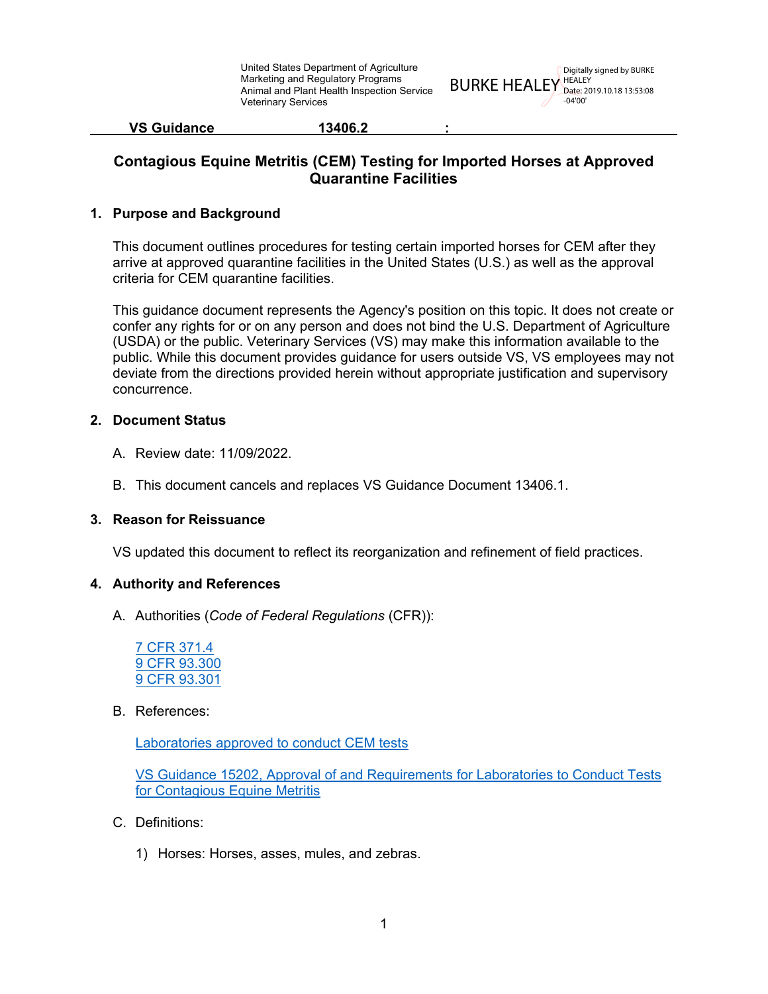BURKE HEALEY HEALEY Digitally signed by BURKE Date: 2019.10.18 13:53:08 -04'00'

| <b>VS Guidance</b> | 13406.2 |  |
|--------------------|---------|--|
|                    |         |  |

### **Contagious Equine Metritis (CEM) Testing for Imported Horses at Approved Quarantine Facilities**

### **1. Purpose and Background**

This document outlines procedures for testing certain imported horses for CEM after they arrive at approved quarantine facilities in the United States (U.S.) as well as the approval criteria for CEM quarantine facilities.

This guidance document represents the Agency's position on this topic. It does not create or confer any rights for or on any person and does not bind the U.S. Department of Agriculture (USDA) or the public. Veterinary Services (VS) may make this information available to the public. While this document provides guidance for users outside VS, VS employees may not deviate from the directions provided herein without appropriate justification and supervisory concurrence.

### **2. Document Status**

- A. Review date: 11/09/2022.
- B. This document cancels and replaces VS Guidance Document 13406.1.

#### **3. Reason for Reissuance**

VS updated this document to reflect its reorganization and refinement of field practices.

#### **4. Authority and References**

A. Authorities (*Code of Federal Regulations* (CFR)):

[7 CFR 371.4](https://www.ecfr.gov/cgi-bin/text-idx?SID=ade6c32206ba6b4ed27b35d226111409&mc=true&node=se7.5.371_14&rgn=div8) [9 CFR 93.300](https://www.ecfr.gov/cgi-bin/text-idx?SID=ade6c32206ba6b4ed27b35d226111409&mc=true&node=se9.1.93_1300&rgn=div8) [9 CFR 93.301](https://www.ecfr.gov/cgi-bin/text-idx?SID=ade6c32206ba6b4ed27b35d226111409&mc=true&node=se9.1.93_1301&rgn=div8)

#### B. References:

[Laboratories approved to conduct CEM tests](https://www.aphis.usda.gov/animal_health/lab_info_services/downloads/ApprovedLabs_CEM.pdf)

VS Guidance 15202, [Approval of and Requirements for Laboratories to Conduct Tests](https://www.aphis.usda.gov/import_export/animals/downloads/approval-of-labs-to-conduct-cem-tests.pdf)  [for Contagious Equine Metritis](https://www.aphis.usda.gov/import_export/animals/downloads/approval-of-labs-to-conduct-cem-tests.pdf)

- C. Definitions:
	- 1) Horses: Horses, asses, mules, and zebras.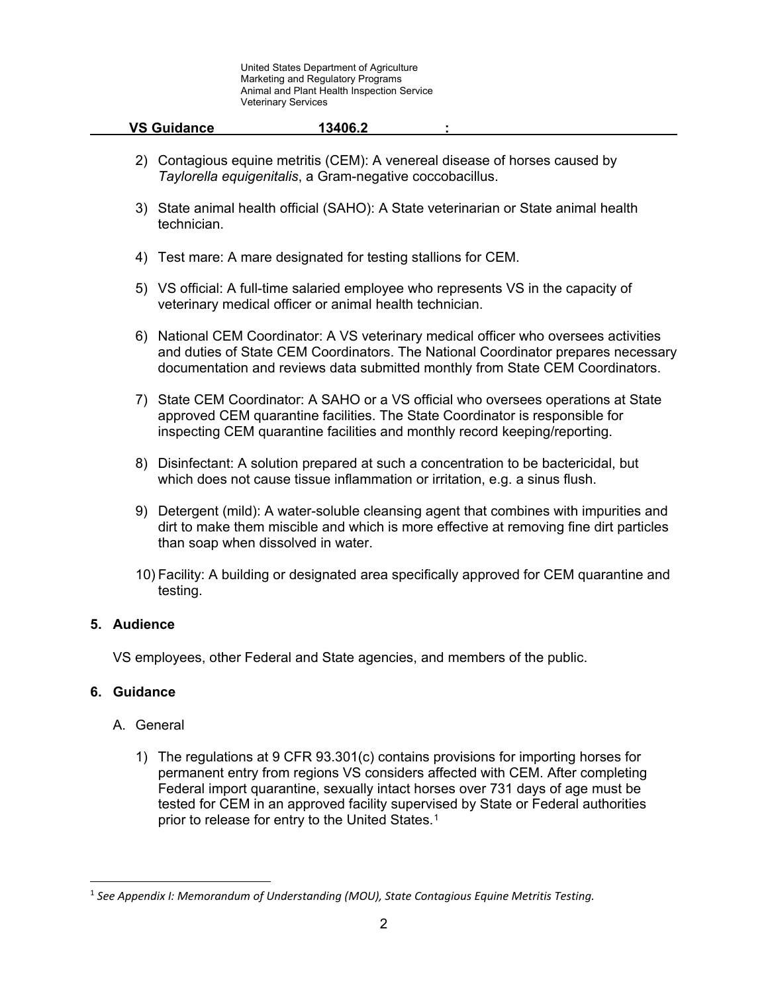| <b>VS Guidance</b> | 13406.2 |  |
|--------------------|---------|--|
|                    |         |  |

- 2) Contagious equine metritis (CEM): A venereal disease of horses caused by *Taylorella equigenitalis*, a Gram-negative coccobacillus.
- 3) State animal health official (SAHO): A State veterinarian or State animal health technician.
- 4) Test mare: A mare designated for testing stallions for CEM.
- 5) VS official: A full-time salaried employee who represents VS in the capacity of veterinary medical officer or animal health technician.
- 6) National CEM Coordinator: A VS veterinary medical officer who oversees activities and duties of State CEM Coordinators. The National Coordinator prepares necessary documentation and reviews data submitted monthly from State CEM Coordinators.
- 7) State CEM Coordinator: A SAHO or a VS official who oversees operations at State approved CEM quarantine facilities. The State Coordinator is responsible for inspecting CEM quarantine facilities and monthly record keeping/reporting.
- 8) Disinfectant: A solution prepared at such a concentration to be bactericidal, but which does not cause tissue inflammation or irritation, e.g. a sinus flush.
- 9) Detergent (mild): A water-soluble cleansing agent that combines with impurities and dirt to make them miscible and which is more effective at removing fine dirt particles than soap when dissolved in water.
- 10) Facility: A building or designated area specifically approved for CEM quarantine and testing.

#### **5. Audience**

VS employees, other Federal and State agencies, and members of the public.

### **6. Guidance**

#### A. General

1) The regulations at 9 CFR 93.301(c) contains provisions for importing horses for permanent entry from regions VS considers affected with CEM. After completing Federal import quarantine, sexually intact horses over 731 days of age must be tested for CEM in an approved facility supervised by State or Federal authorities prior to release for entry to the United States.<sup>[1](#page-1-0)</sup>

<span id="page-1-0"></span> <sup>1</sup> *See Appendix I: Memorandum of Understanding (MOU), State Contagious Equine Metritis Testing.*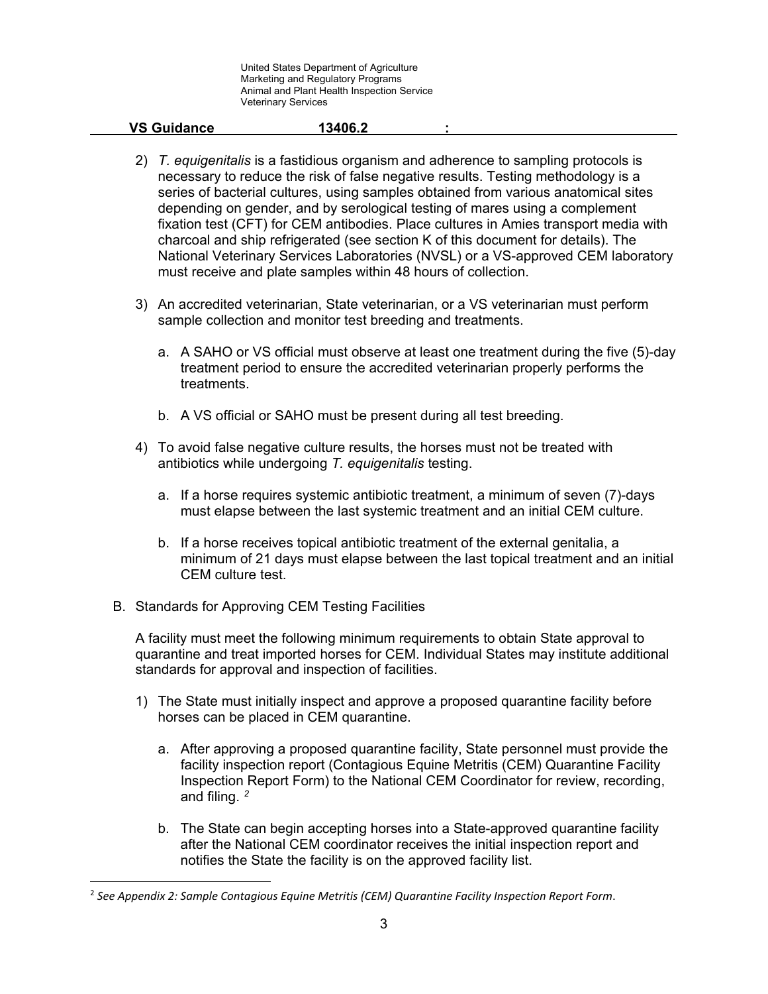| <b>VS Guidance</b> | 13406.2 |  |
|--------------------|---------|--|
|                    |         |  |

- 2) *T. equigenitalis* is a fastidious organism and adherence to sampling protocols is necessary to reduce the risk of false negative results. Testing methodology is a series of bacterial cultures, using samples obtained from various anatomical sites depending on gender, and by serological testing of mares using a complement fixation test (CFT) for CEM antibodies. Place cultures in Amies transport media with charcoal and ship refrigerated (see section K of this document for details). The National Veterinary Services Laboratories (NVSL) or a VS-approved CEM laboratory must receive and plate samples within 48 hours of collection.
- 3) An accredited veterinarian, State veterinarian, or a VS veterinarian must perform sample collection and monitor test breeding and treatments.
	- a. A SAHO or VS official must observe at least one treatment during the five (5)-day treatment period to ensure the accredited veterinarian properly performs the treatments.
	- b. A VS official or SAHO must be present during all test breeding.
- 4) To avoid false negative culture results, the horses must not be treated with antibiotics while undergoing *T. equigenitalis* testing.
	- a. If a horse requires systemic antibiotic treatment, a minimum of seven (7)-days must elapse between the last systemic treatment and an initial CEM culture.
	- b. If a horse receives topical antibiotic treatment of the external genitalia, a minimum of 21 days must elapse between the last topical treatment and an initial CEM culture test.
- B. Standards for Approving CEM Testing Facilities

A facility must meet the following minimum requirements to obtain State approval to quarantine and treat imported horses for CEM. Individual States may institute additional standards for approval and inspection of facilities.

- 1) The State must initially inspect and approve a proposed quarantine facility before horses can be placed in CEM quarantine.
	- a. After approving a proposed quarantine facility, State personnel must provide the facility inspection report (Contagious Equine Metritis (CEM) Quarantine Facility Inspection Report Form) to the National CEM Coordinator for review, recording, and filing. *[2](#page-2-0)*
	- b. The State can begin accepting horses into a State-approved quarantine facility after the National CEM coordinator receives the initial inspection report and notifies the State the facility is on the approved facility list.

<span id="page-2-0"></span> <sup>2</sup> *See Appendix 2: Sample Contagious Equine Metritis (CEM) Quarantine Facility Inspection Report Form*.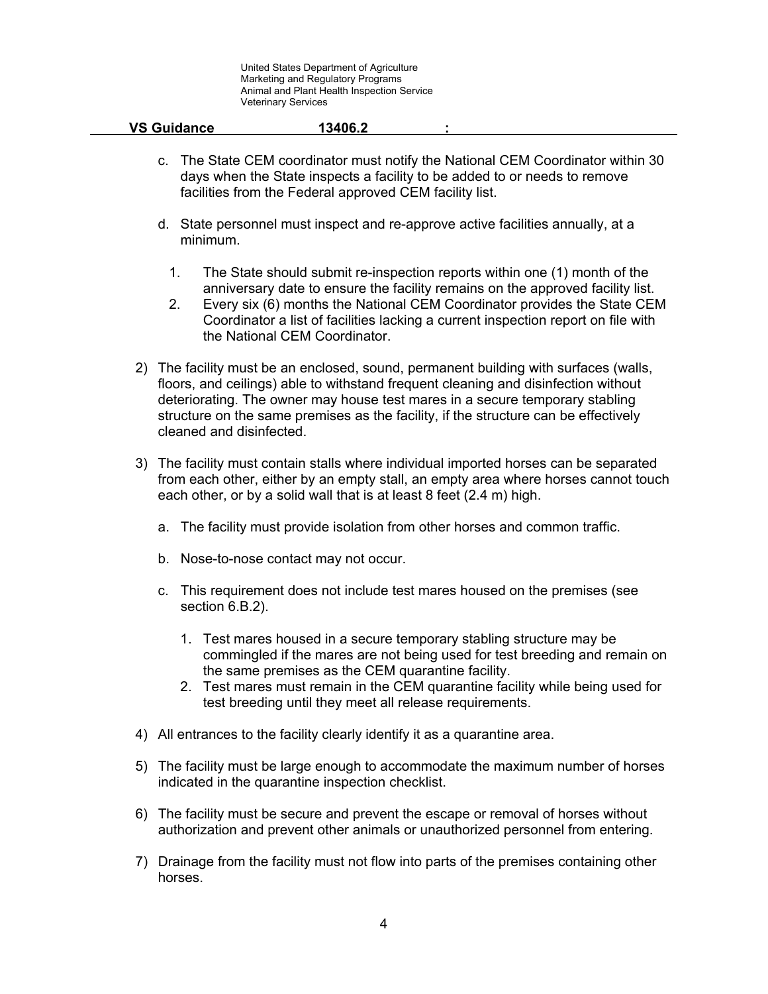| <b>VS Guidance</b> | 13406.2 |  |
|--------------------|---------|--|
|                    |         |  |

- c. The State CEM coordinator must notify the National CEM Coordinator within 30 days when the State inspects a facility to be added to or needs to remove facilities from the Federal approved CEM facility list.
- d. State personnel must inspect and re-approve active facilities annually, at a minimum.
	- 1. The State should submit re-inspection reports within one (1) month of the anniversary date to ensure the facility remains on the approved facility list.
	- 2. Every six (6) months the National CEM Coordinator provides the State CEM Coordinator a list of facilities lacking a current inspection report on file with the National CEM Coordinator.
- 2) The facility must be an enclosed, sound, permanent building with surfaces (walls, floors, and ceilings) able to withstand frequent cleaning and disinfection without deteriorating. The owner may house test mares in a secure temporary stabling structure on the same premises as the facility, if the structure can be effectively cleaned and disinfected.
- 3) The facility must contain stalls where individual imported horses can be separated from each other, either by an empty stall, an empty area where horses cannot touch each other, or by a solid wall that is at least 8 feet (2.4 m) high.
	- a. The facility must provide isolation from other horses and common traffic.
	- b. Nose-to-nose contact may not occur.
	- c. This requirement does not include test mares housed on the premises (see section 6.B.2).
		- 1. Test mares housed in a secure temporary stabling structure may be commingled if the mares are not being used for test breeding and remain on the same premises as the CEM quarantine facility.
		- 2. Test mares must remain in the CEM quarantine facility while being used for test breeding until they meet all release requirements.
- 4) All entrances to the facility clearly identify it as a quarantine area.
- 5) The facility must be large enough to accommodate the maximum number of horses indicated in the quarantine inspection checklist.
- 6) The facility must be secure and prevent the escape or removal of horses without authorization and prevent other animals or unauthorized personnel from entering.
- 7) Drainage from the facility must not flow into parts of the premises containing other horses.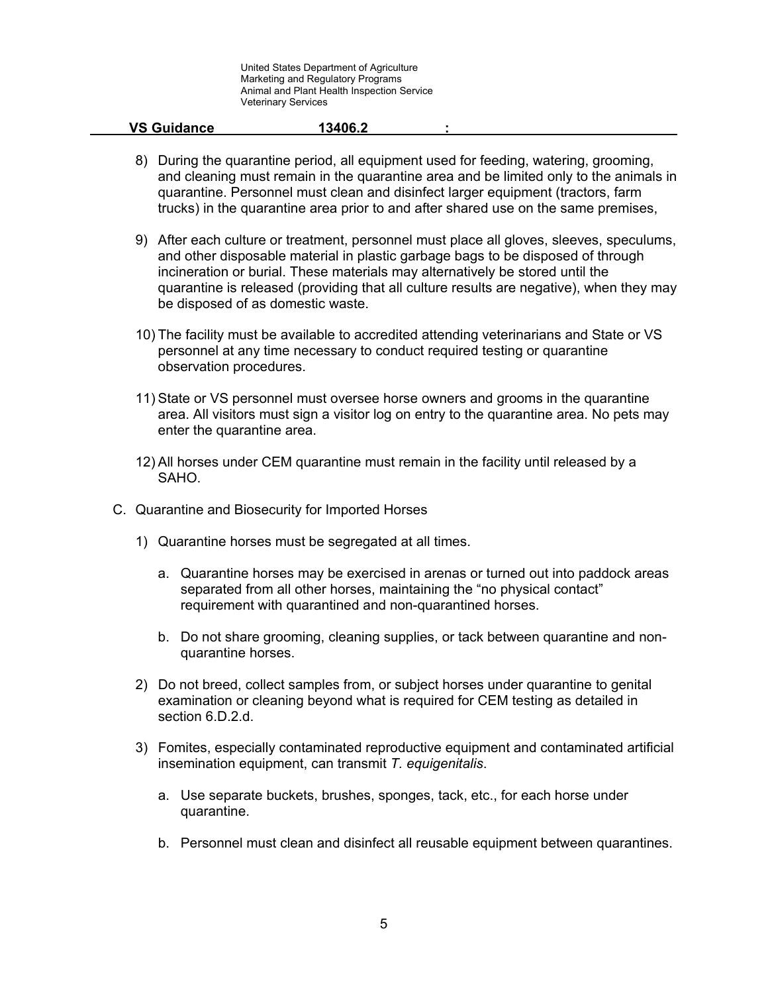| <b>VS Guidance</b> | 13406.2 |  |
|--------------------|---------|--|
|                    |         |  |

- 8) During the quarantine period, all equipment used for feeding, watering, grooming, and cleaning must remain in the quarantine area and be limited only to the animals in quarantine. Personnel must clean and disinfect larger equipment (tractors, farm trucks) in the quarantine area prior to and after shared use on the same premises,
- 9) After each culture or treatment, personnel must place all gloves, sleeves, speculums, and other disposable material in plastic garbage bags to be disposed of through incineration or burial. These materials may alternatively be stored until the quarantine is released (providing that all culture results are negative), when they may be disposed of as domestic waste.
- 10) The facility must be available to accredited attending veterinarians and State or VS personnel at any time necessary to conduct required testing or quarantine observation procedures.
- 11) State or VS personnel must oversee horse owners and grooms in the quarantine area. All visitors must sign a visitor log on entry to the quarantine area. No pets may enter the quarantine area.
- 12) All horses under CEM quarantine must remain in the facility until released by a SAHO.
- C. Quarantine and Biosecurity for Imported Horses
	- 1) Quarantine horses must be segregated at all times.
		- a. Quarantine horses may be exercised in arenas or turned out into paddock areas separated from all other horses, maintaining the "no physical contact" requirement with quarantined and non-quarantined horses.
		- b. Do not share grooming, cleaning supplies, or tack between quarantine and nonquarantine horses.
	- 2) Do not breed, collect samples from, or subject horses under quarantine to genital examination or cleaning beyond what is required for CEM testing as detailed in section 6.D.2.d.
	- 3) Fomites, especially contaminated reproductive equipment and contaminated artificial insemination equipment, can transmit *T. equigenitalis*.
		- a. Use separate buckets, brushes, sponges, tack, etc., for each horse under quarantine.
		- b. Personnel must clean and disinfect all reusable equipment between quarantines.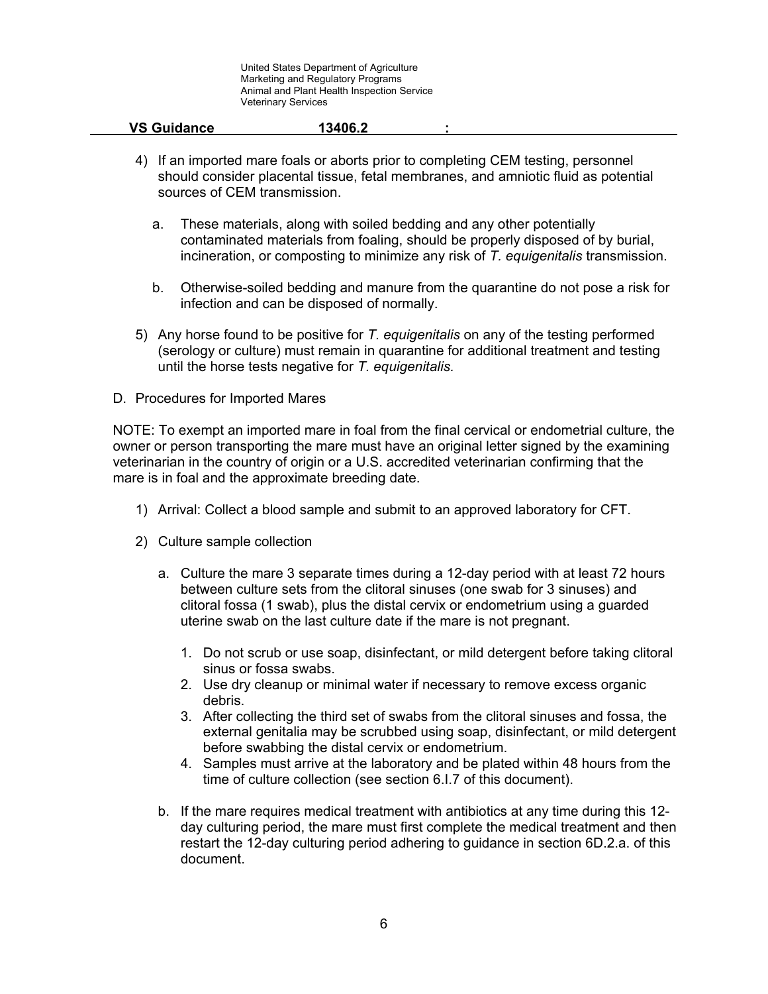| <b>VS Guidance</b> | 13406.2 |  |
|--------------------|---------|--|
|                    |         |  |

- 4) If an imported mare foals or aborts prior to completing CEM testing, personnel should consider placental tissue, fetal membranes, and amniotic fluid as potential sources of CEM transmission.
	- a. These materials, along with soiled bedding and any other potentially contaminated materials from foaling, should be properly disposed of by burial, incineration, or composting to minimize any risk of *T. equigenitalis* transmission.
	- b. Otherwise-soiled bedding and manure from the quarantine do not pose a risk for infection and can be disposed of normally.
- 5) Any horse found to be positive for *T. equigenitalis* on any of the testing performed (serology or culture) must remain in quarantine for additional treatment and testing until the horse tests negative for *T. equigenitalis.*
- D. Procedures for Imported Mares

NOTE: To exempt an imported mare in foal from the final cervical or endometrial culture, the owner or person transporting the mare must have an original letter signed by the examining veterinarian in the country of origin or a U.S. accredited veterinarian confirming that the mare is in foal and the approximate breeding date.

- 1) Arrival: Collect a blood sample and submit to an approved laboratory for CFT.
- 2) Culture sample collection
	- a. Culture the mare 3 separate times during a 12-day period with at least 72 hours between culture sets from the clitoral sinuses (one swab for 3 sinuses) and clitoral fossa (1 swab), plus the distal cervix or endometrium using a guarded uterine swab on the last culture date if the mare is not pregnant.
		- 1. Do not scrub or use soap, disinfectant, or mild detergent before taking clitoral sinus or fossa swabs.
		- 2. Use dry cleanup or minimal water if necessary to remove excess organic debris.
		- 3. After collecting the third set of swabs from the clitoral sinuses and fossa, the external genitalia may be scrubbed using soap, disinfectant, or mild detergent before swabbing the distal cervix or endometrium.
		- 4. Samples must arrive at the laboratory and be plated within 48 hours from the time of culture collection (see section 6.I.7 of this document).
	- b. If the mare requires medical treatment with antibiotics at any time during this 12 day culturing period, the mare must first complete the medical treatment and then restart the 12-day culturing period adhering to guidance in section 6D.2.a. of this document.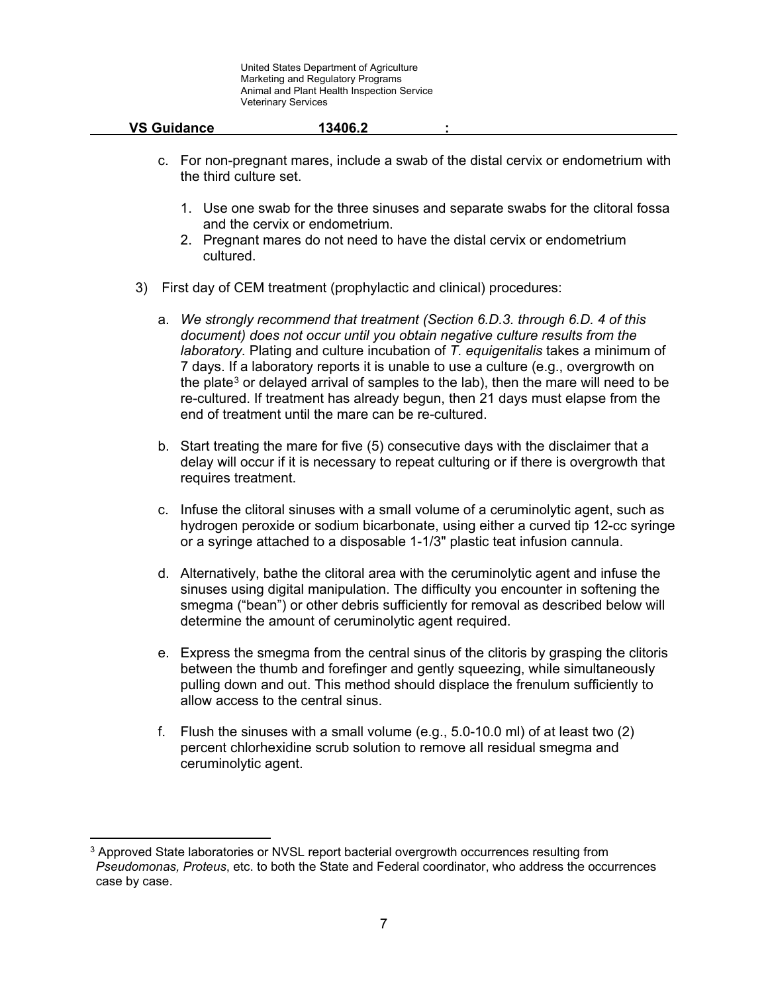| <b>VS Guidance</b> | 13406.2 |  |
|--------------------|---------|--|
|                    |         |  |

- c. For non-pregnant mares, include a swab of the distal cervix or endometrium with the third culture set.
	- 1. Use one swab for the three sinuses and separate swabs for the clitoral fossa and the cervix or endometrium.
	- 2. Pregnant mares do not need to have the distal cervix or endometrium cultured.
- 3) First day of CEM treatment (prophylactic and clinical) procedures:
	- a. *We strongly recommend that treatment (Section 6.D.3. through 6.D. 4 of this document) does not occur until you obtain negative culture results from the laboratory.* Plating and culture incubation of *T. equigenitalis* takes a minimum of 7 days. If a laboratory reports it is unable to use a culture (e.g., overgrowth on the plate<sup>[3](#page-6-0)</sup> or delayed arrival of samples to the lab), then the mare will need to be re-cultured. If treatment has already begun, then 21 days must elapse from the end of treatment until the mare can be re-cultured.
	- b. Start treating the mare for five (5) consecutive days with the disclaimer that a delay will occur if it is necessary to repeat culturing or if there is overgrowth that requires treatment.
	- c. Infuse the clitoral sinuses with a small volume of a ceruminolytic agent, such as hydrogen peroxide or sodium bicarbonate, using either a curved tip 12-cc syringe or a syringe attached to a disposable 1-1/3" plastic teat infusion cannula.
	- d. Alternatively, bathe the clitoral area with the ceruminolytic agent and infuse the sinuses using digital manipulation. The difficulty you encounter in softening the smegma ("bean") or other debris sufficiently for removal as described below will determine the amount of ceruminolytic agent required.
	- e. Express the smegma from the central sinus of the clitoris by grasping the clitoris between the thumb and forefinger and gently squeezing, while simultaneously pulling down and out. This method should displace the frenulum sufficiently to allow access to the central sinus.
	- f. Flush the sinuses with a small volume (e.g., 5.0-10.0 ml) of at least two (2) percent chlorhexidine scrub solution to remove all residual smegma and ceruminolytic agent.

 $\overline{\phantom{a}}$ 

<span id="page-6-0"></span><sup>&</sup>lt;sup>3</sup> Approved State laboratories or NVSL report bacterial overgrowth occurrences resulting from *Pseudomonas, Proteus*, etc. to both the State and Federal coordinator, who address the occurrences case by case.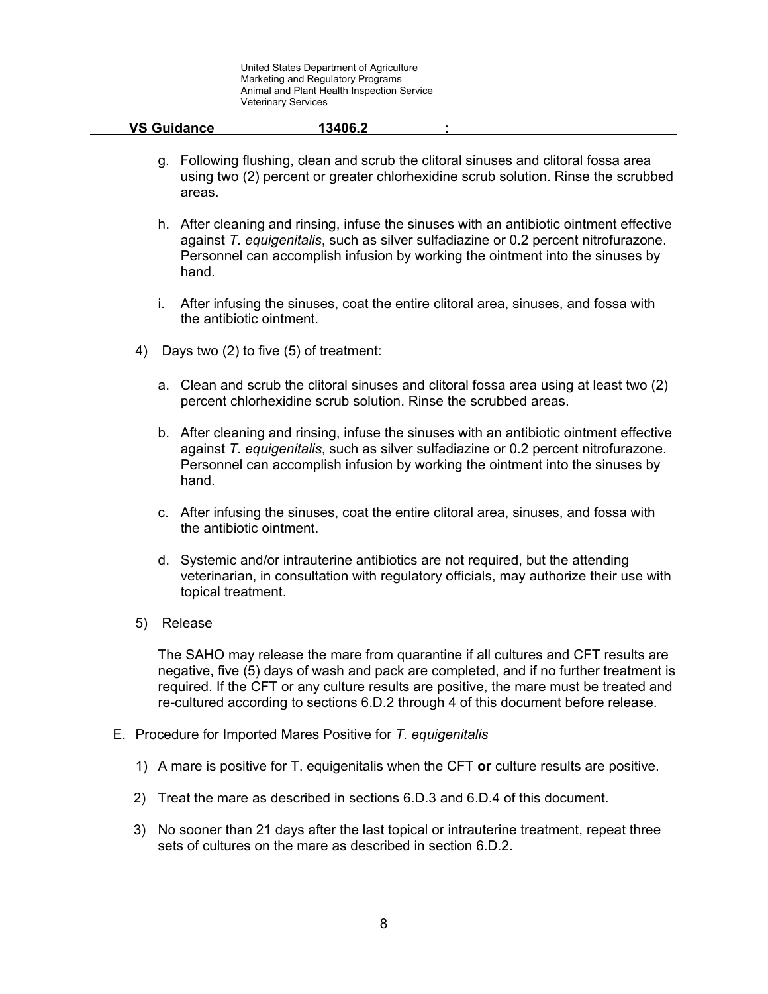- g. Following flushing, clean and scrub the clitoral sinuses and clitoral fossa area using two (2) percent or greater chlorhexidine scrub solution. Rinse the scrubbed areas.
- h. After cleaning and rinsing, infuse the sinuses with an antibiotic ointment effective against *T. equigenitalis*, such as silver sulfadiazine or 0.2 percent nitrofurazone. Personnel can accomplish infusion by working the ointment into the sinuses by hand.
- i. After infusing the sinuses, coat the entire clitoral area, sinuses, and fossa with the antibiotic ointment.
- 4) Days two (2) to five (5) of treatment:
	- a. Clean and scrub the clitoral sinuses and clitoral fossa area using at least two (2) percent chlorhexidine scrub solution. Rinse the scrubbed areas.
	- b. After cleaning and rinsing, infuse the sinuses with an antibiotic ointment effective against *T. equigenitalis*, such as silver sulfadiazine or 0.2 percent nitrofurazone. Personnel can accomplish infusion by working the ointment into the sinuses by hand.
	- c. After infusing the sinuses, coat the entire clitoral area, sinuses, and fossa with the antibiotic ointment.
	- d. Systemic and/or intrauterine antibiotics are not required, but the attending veterinarian, in consultation with regulatory officials, may authorize their use with topical treatment.
- 5) Release

The SAHO may release the mare from quarantine if all cultures and CFT results are negative, five (5) days of wash and pack are completed, and if no further treatment is required. If the CFT or any culture results are positive, the mare must be treated and re-cultured according to sections 6.D.2 through 4 of this document before release.

- E. Procedure for Imported Mares Positive for *T. equigenitalis*
	- 1) A mare is positive for T. equigenitalis when the CFT **or** culture results are positive.
	- 2) Treat the mare as described in sections 6.D.3 and 6.D.4 of this document.
	- 3) No sooner than 21 days after the last topical or intrauterine treatment, repeat three sets of cultures on the mare as described in section 6.D.2.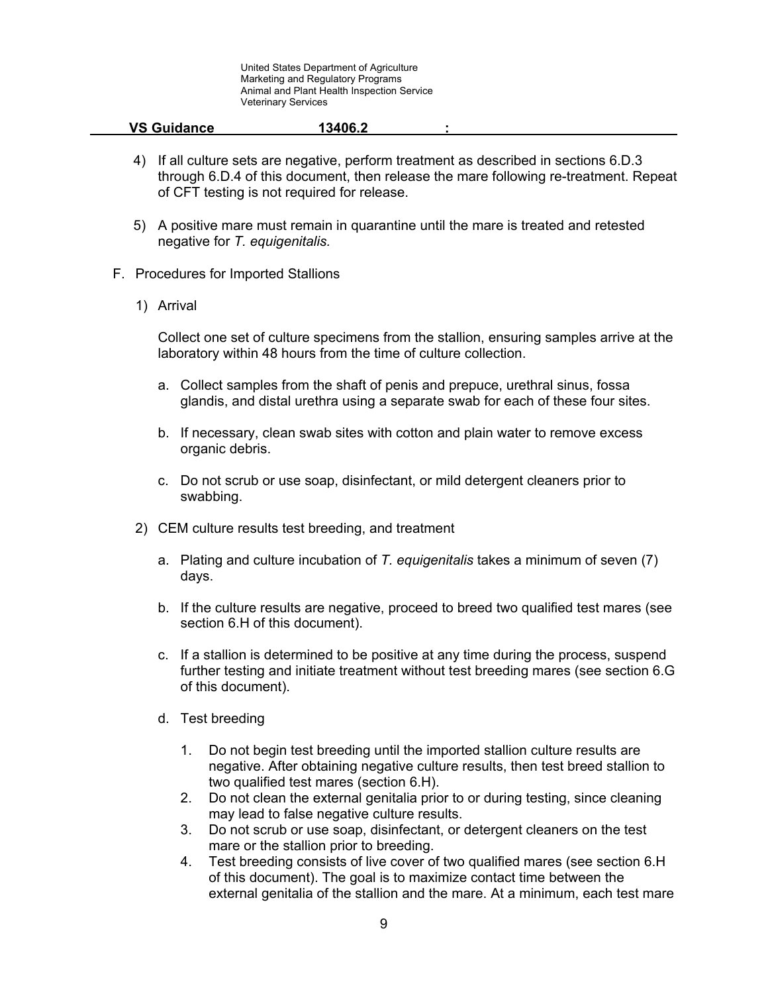| <b>VS Guidance</b> | 13406.2 |  |
|--------------------|---------|--|
|                    |         |  |

- 4) If all culture sets are negative, perform treatment as described in sections 6.D.3 through 6.D.4 of this document, then release the mare following re-treatment. Repeat of CFT testing is not required for release.
- 5) A positive mare must remain in quarantine until the mare is treated and retested negative for *T. equigenitalis.*
- F. Procedures for Imported Stallions
	- 1) Arrival

Collect one set of culture specimens from the stallion, ensuring samples arrive at the laboratory within 48 hours from the time of culture collection.

- a. Collect samples from the shaft of penis and prepuce, urethral sinus, fossa glandis, and distal urethra using a separate swab for each of these four sites.
- b. If necessary, clean swab sites with cotton and plain water to remove excess organic debris.
- c. Do not scrub or use soap, disinfectant, or mild detergent cleaners prior to swabbing.
- 2) CEM culture results test breeding, and treatment
	- a. Plating and culture incubation of *T. equigenitalis* takes a minimum of seven (7) days.
	- b. If the culture results are negative, proceed to breed two qualified test mares (see section 6.H of this document).
	- c. If a stallion is determined to be positive at any time during the process, suspend further testing and initiate treatment without test breeding mares (see section 6.G of this document).
	- d. Test breeding
		- 1. Do not begin test breeding until the imported stallion culture results are negative. After obtaining negative culture results, then test breed stallion to two qualified test mares (section 6.H).
		- 2. Do not clean the external genitalia prior to or during testing, since cleaning may lead to false negative culture results.
		- 3. Do not scrub or use soap, disinfectant, or detergent cleaners on the test mare or the stallion prior to breeding.
		- 4. Test breeding consists of live cover of two qualified mares (see section 6.H of this document). The goal is to maximize contact time between the external genitalia of the stallion and the mare. At a minimum, each test mare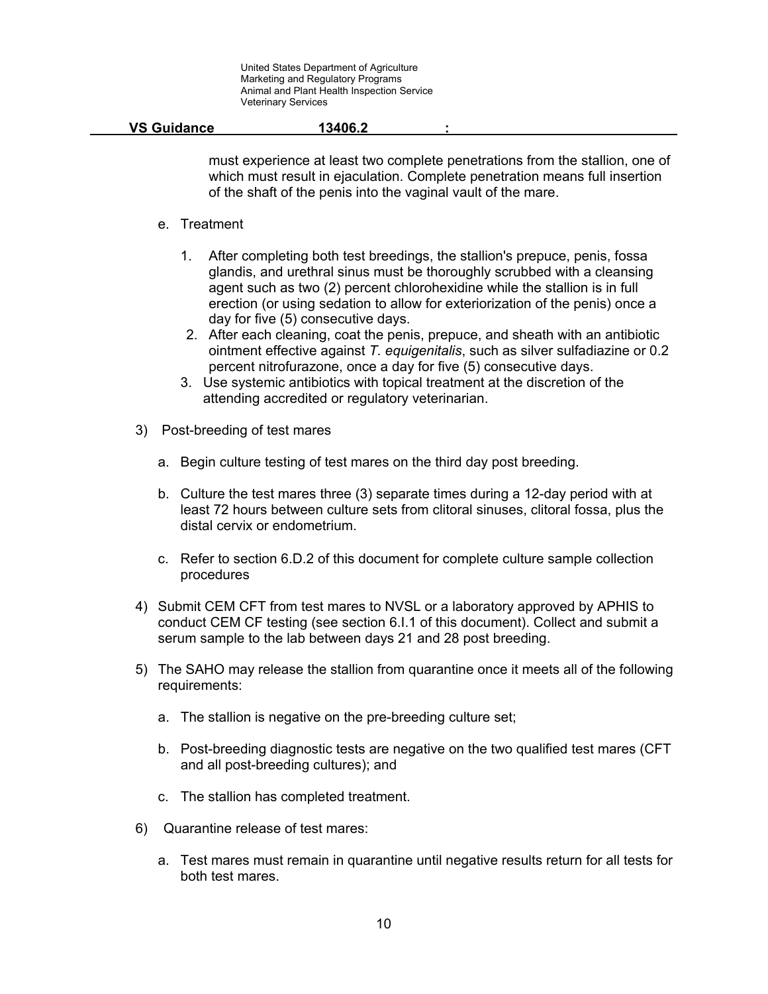|  | <b>VS Guidance</b> | 13406.2 |  |  |
|--|--------------------|---------|--|--|
|--|--------------------|---------|--|--|

must experience at least two complete penetrations from the stallion, one of which must result in ejaculation. Complete penetration means full insertion of the shaft of the penis into the vaginal vault of the mare.

### e. Treatment

- 1. After completing both test breedings, the stallion's prepuce, penis, fossa glandis, and urethral sinus must be thoroughly scrubbed with a cleansing agent such as two (2) percent chlorohexidine while the stallion is in full erection (or using sedation to allow for exteriorization of the penis) once a day for five (5) consecutive days.
- 2. After each cleaning, coat the penis, prepuce, and sheath with an antibiotic ointment effective against *T. equigenitalis*, such as silver sulfadiazine or 0.2 percent nitrofurazone, once a day for five (5) consecutive days.
- 3. Use systemic antibiotics with topical treatment at the discretion of the attending accredited or regulatory veterinarian.
- 3) Post-breeding of test mares
	- a. Begin culture testing of test mares on the third day post breeding.
	- b. Culture the test mares three (3) separate times during a 12-day period with at least 72 hours between culture sets from clitoral sinuses, clitoral fossa, plus the distal cervix or endometrium.
	- c. Refer to section 6.D.2 of this document for complete culture sample collection procedures
- 4) Submit CEM CFT from test mares to NVSL or a laboratory approved by APHIS to conduct CEM CF testing (see section 6.I.1 of this document). Collect and submit a serum sample to the lab between days 21 and 28 post breeding.
- 5) The SAHO may release the stallion from quarantine once it meets all of the following requirements:
	- a. The stallion is negative on the pre-breeding culture set;
	- b. Post-breeding diagnostic tests are negative on the two qualified test mares (CFT and all post-breeding cultures); and
	- c. The stallion has completed treatment.
- 6) Quarantine release of test mares:
	- a. Test mares must remain in quarantine until negative results return for all tests for both test mares.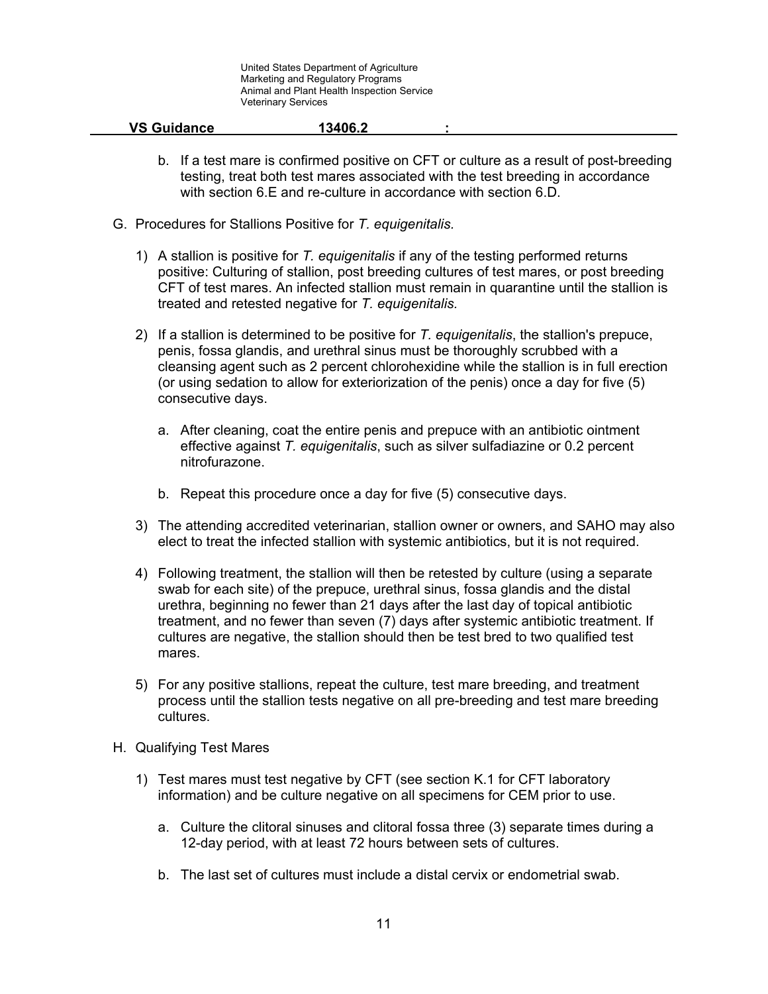- b. If a test mare is confirmed positive on CFT or culture as a result of post-breeding testing, treat both test mares associated with the test breeding in accordance with section 6.E and re-culture in accordance with section 6.D.
- G. Procedures for Stallions Positive for *T. equigenitalis.*
	- 1) A stallion is positive for *T. equigenitalis* if any of the testing performed returns positive: Culturing of stallion, post breeding cultures of test mares, or post breeding CFT of test mares. An infected stallion must remain in quarantine until the stallion is treated and retested negative for *T. equigenitalis.*
	- 2) If a stallion is determined to be positive for *T. equigenitalis*, the stallion's prepuce, penis, fossa glandis, and urethral sinus must be thoroughly scrubbed with a cleansing agent such as 2 percent chlorohexidine while the stallion is in full erection (or using sedation to allow for exteriorization of the penis) once a day for five (5) consecutive days.
		- a. After cleaning, coat the entire penis and prepuce with an antibiotic ointment effective against *T. equigenitalis*, such as silver sulfadiazine or 0.2 percent nitrofurazone.
		- b. Repeat this procedure once a day for five (5) consecutive days.
	- 3) The attending accredited veterinarian, stallion owner or owners, and SAHO may also elect to treat the infected stallion with systemic antibiotics, but it is not required.
	- 4) Following treatment, the stallion will then be retested by culture (using a separate swab for each site) of the prepuce, urethral sinus, fossa glandis and the distal urethra, beginning no fewer than 21 days after the last day of topical antibiotic treatment, and no fewer than seven (7) days after systemic antibiotic treatment. If cultures are negative, the stallion should then be test bred to two qualified test mares.
	- 5) For any positive stallions, repeat the culture, test mare breeding, and treatment process until the stallion tests negative on all pre-breeding and test mare breeding cultures.
- H. Qualifying Test Mares
	- 1) Test mares must test negative by CFT (see section K.1 for CFT laboratory information) and be culture negative on all specimens for CEM prior to use.
		- a. Culture the clitoral sinuses and clitoral fossa three (3) separate times during a 12-day period, with at least 72 hours between sets of cultures.
		- b. The last set of cultures must include a distal cervix or endometrial swab.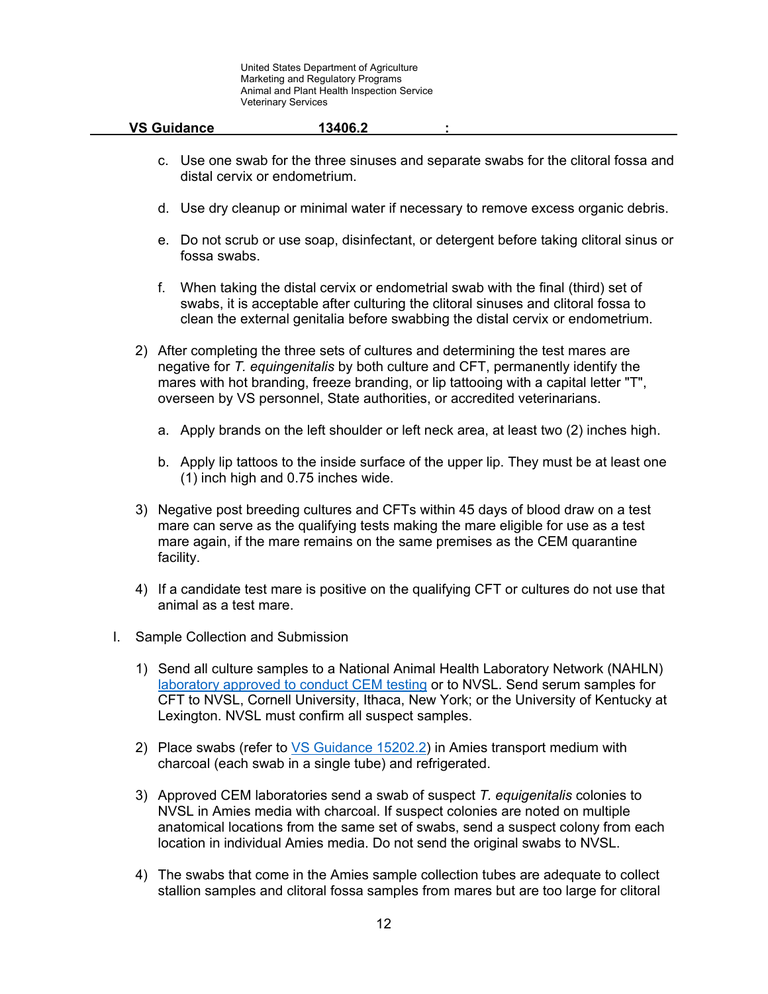| <b>VS Guidance</b> | 13406.2 |  |
|--------------------|---------|--|
|                    |         |  |

- c. Use one swab for the three sinuses and separate swabs for the clitoral fossa and distal cervix or endometrium.
- d. Use dry cleanup or minimal water if necessary to remove excess organic debris.
- e. Do not scrub or use soap, disinfectant, or detergent before taking clitoral sinus or fossa swabs.
- f. When taking the distal cervix or endometrial swab with the final (third) set of swabs, it is acceptable after culturing the clitoral sinuses and clitoral fossa to clean the external genitalia before swabbing the distal cervix or endometrium.
- 2) After completing the three sets of cultures and determining the test mares are negative for *T. equingenitalis* by both culture and CFT, permanently identify the mares with hot branding, freeze branding, or lip tattooing with a capital letter "T", overseen by VS personnel, State authorities, or accredited veterinarians.
	- a. Apply brands on the left shoulder or left neck area, at least two (2) inches high.
	- b. Apply lip tattoos to the inside surface of the upper lip. They must be at least one (1) inch high and 0.75 inches wide.
- 3) Negative post breeding cultures and CFTs within 45 days of blood draw on a test mare can serve as the qualifying tests making the mare eligible for use as a test mare again, if the mare remains on the same premises as the CEM quarantine facility.
- 4) If a candidate test mare is positive on the qualifying CFT or cultures do not use that animal as a test mare.
- I. Sample Collection and Submission
	- 1) Send all culture samples to a National Animal Health Laboratory Network (NAHLN) [laboratory approved to conduct CEM testing](https://www.aphis.usda.gov/animal_health/lab_info_services/downloads/ApprovedLabs_CEM.pdf) or to NVSL. Send serum samples for CFT to NVSL, Cornell University, Ithaca, New York; or the University of Kentucky at Lexington. NVSL must confirm all suspect samples.
	- 2) Place swabs (refer to [VS Guidance 15202.](https://www.aphis.usda.gov/import_export/animals/downloads/approval-of-labs-to-conduct-cem-tests.pdf)2) in Amies transport medium with charcoal (each swab in a single tube) and refrigerated.
	- 3) Approved CEM laboratories send a swab of suspect *T. equigenitalis* colonies to NVSL in Amies media with charcoal. If suspect colonies are noted on multiple anatomical locations from the same set of swabs, send a suspect colony from each location in individual Amies media. Do not send the original swabs to NVSL.
	- 4) The swabs that come in the Amies sample collection tubes are adequate to collect stallion samples and clitoral fossa samples from mares but are too large for clitoral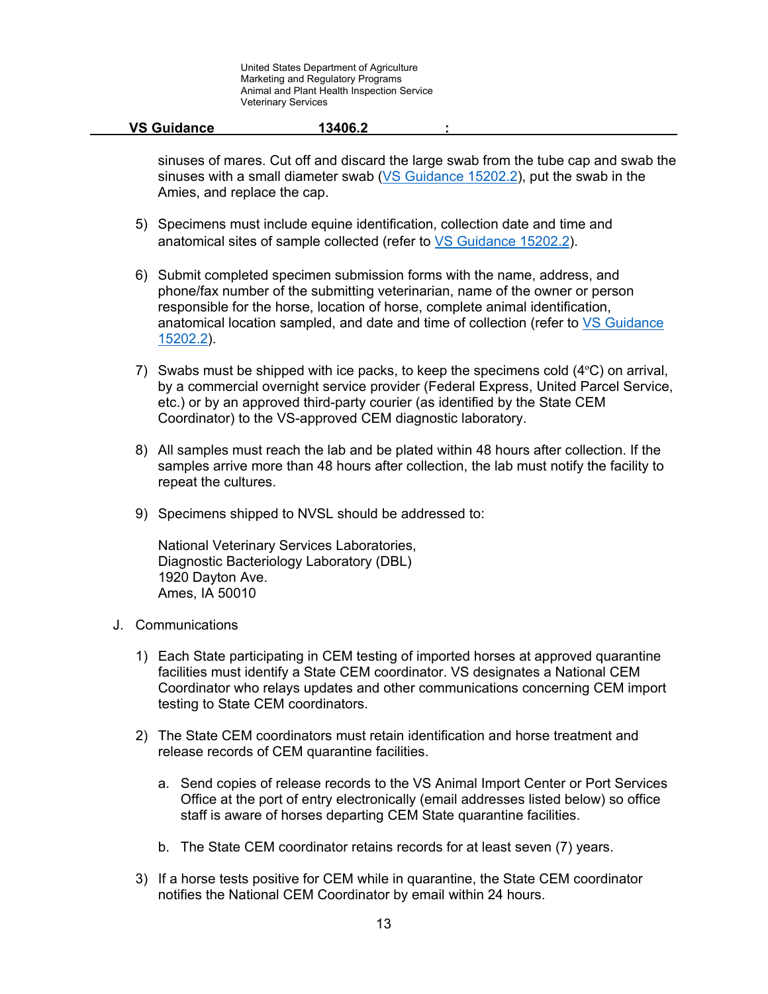| <b>VS Guidance</b> | 13406.2 |  |
|--------------------|---------|--|
|                    |         |  |

sinuses of mares. Cut off and discard the large swab from the tube cap and swab the sinuses with a small diameter swab [\(VS Guidance 15202.](https://www.aphis.usda.gov/import_export/animals/downloads/approval-of-labs-to-conduct-cem-tests.pdf)2), put the swab in the Amies, and replace the cap.

- 5) Specimens must include equine identification, collection date and time and anatomical sites of sample collected (refer to [VS Guidance 15202.](https://www.aphis.usda.gov/import_export/animals/downloads/approval-of-labs-to-conduct-cem-tests.pdf)2).
- 6) Submit completed specimen submission forms with the name, address, and phone/fax number of the submitting veterinarian, name of the owner or person responsible for the horse, location of horse, complete animal identification, anatomical location sampled, and date and time of collection (refer to [VS Guidance](https://www.aphis.usda.gov/import_export/animals/downloads/approval-of-labs-to-conduct-cem-tests.pdf)  [15202.](https://www.aphis.usda.gov/import_export/animals/downloads/approval-of-labs-to-conduct-cem-tests.pdf)2).
- 7) Swabs must be shipped with ice packs, to keep the specimens cold  $(4^{\circ}C)$  on arrival, by a commercial overnight service provider (Federal Express, United Parcel Service, etc.) or by an approved third-party courier (as identified by the State CEM Coordinator) to the VS-approved CEM diagnostic laboratory.
- 8) All samples must reach the lab and be plated within 48 hours after collection. If the samples arrive more than 48 hours after collection, the lab must notify the facility to repeat the cultures.
- 9) Specimens shipped to NVSL should be addressed to:

National Veterinary Services Laboratories, Diagnostic Bacteriology Laboratory (DBL) 1920 Dayton Ave. Ames, IA 50010

- J. Communications
	- 1) Each State participating in CEM testing of imported horses at approved quarantine facilities must identify a State CEM coordinator. VS designates a National CEM Coordinator who relays updates and other communications concerning CEM import testing to State CEM coordinators.
	- 2) The State CEM coordinators must retain identification and horse treatment and release records of CEM quarantine facilities.
		- a. Send copies of release records to the VS Animal Import Center or Port Services Office at the port of entry electronically (email addresses listed below) so office staff is aware of horses departing CEM State quarantine facilities.
		- b. The State CEM coordinator retains records for at least seven (7) years.
	- 3) If a horse tests positive for CEM while in quarantine, the State CEM coordinator notifies the National CEM Coordinator by email within 24 hours.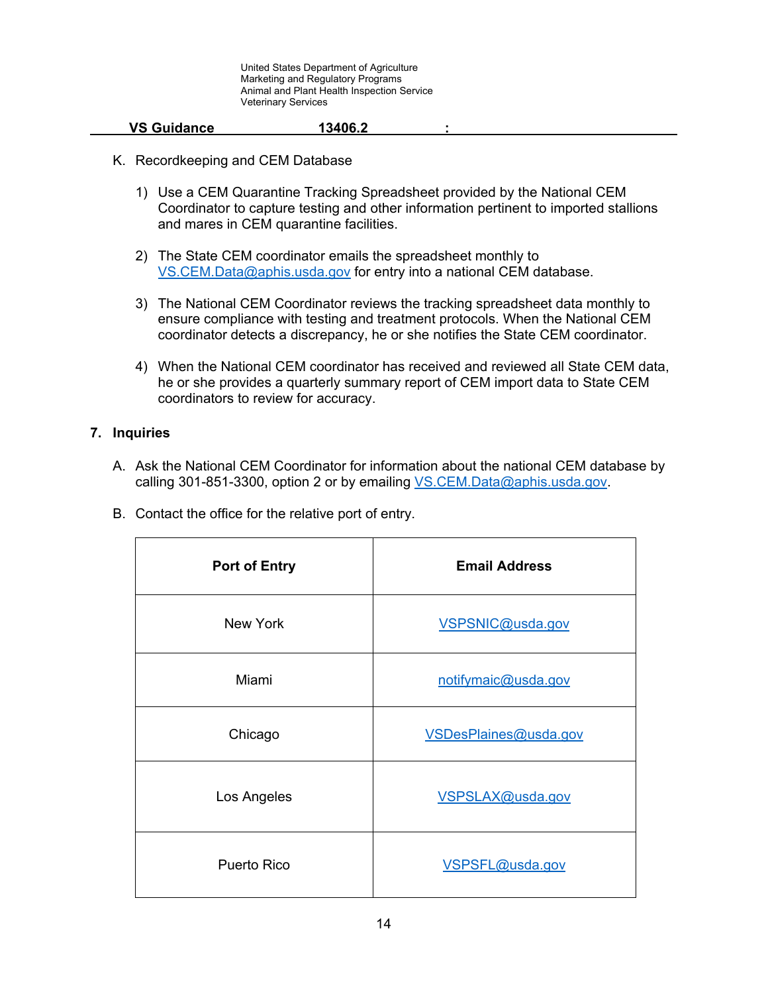#### **VS Guidance 13406.2 :**

- K. Recordkeeping and CEM Database
	- 1) Use a CEM Quarantine Tracking Spreadsheet provided by the National CEM Coordinator to capture testing and other information pertinent to imported stallions and mares in CEM quarantine facilities.
	- 2) The State CEM coordinator emails the spreadsheet monthly to [VS.CEM.Data@aphis.usda.gov](mailto:VS.CEM.Data@aphis.usda.gov) for entry into a national CEM database.
	- 3) The National CEM Coordinator reviews the tracking spreadsheet data monthly to ensure compliance with testing and treatment protocols. When the National CEM coordinator detects a discrepancy, he or she notifies the State CEM coordinator.
	- 4) When the National CEM coordinator has received and reviewed all State CEM data, he or she provides a quarterly summary report of CEM import data to State CEM coordinators to review for accuracy.

### **7. Inquiries**

- A. Ask the National CEM Coordinator for information about the national CEM database by calling 301-851-3300, option 2 or by emailing VS.CEM.Data@aphis.usda.gov.
- B. Contact the office for the relative port of entry.

| <b>Port of Entry</b> | <b>Email Address</b>  |
|----------------------|-----------------------|
| New York             | VSPSNIC@usda.gov      |
| Miami                | notifymaic@usda.gov   |
| Chicago              | VSDesPlaines@usda.gov |
| Los Angeles          | VSPSLAX@usda.gov      |
| Puerto Rico          | VSPSFL@usda.gov       |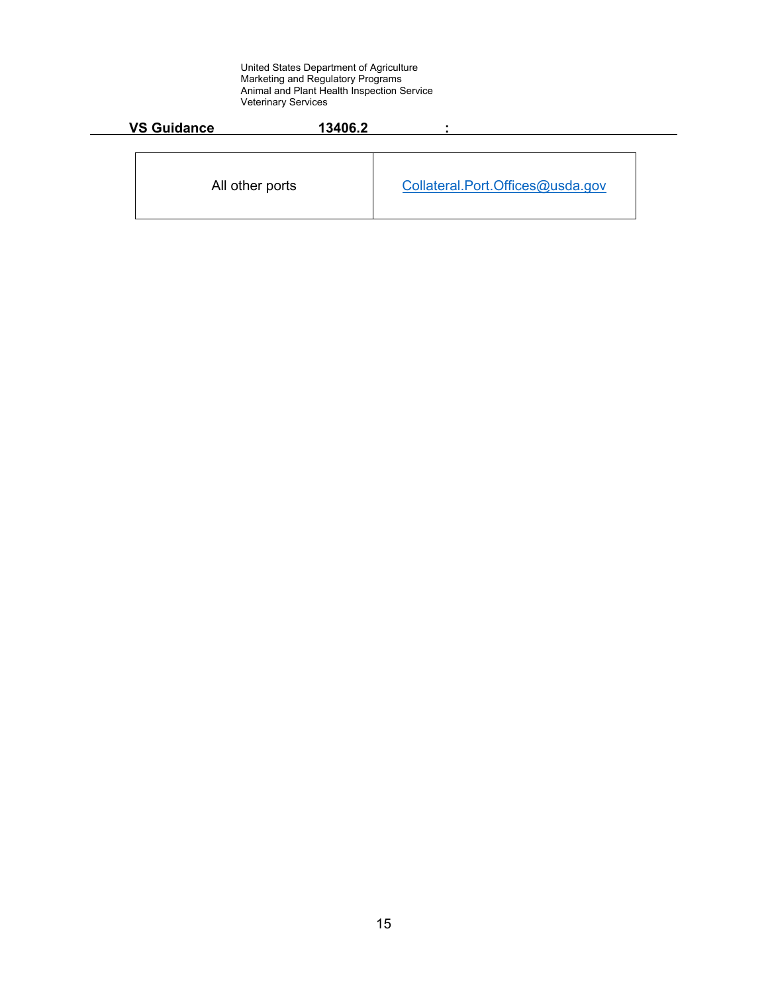| <b>VS Guidance</b> | 13406.2 |                                  |
|--------------------|---------|----------------------------------|
| All other ports    |         | Collateral.Port.Offices@usda.gov |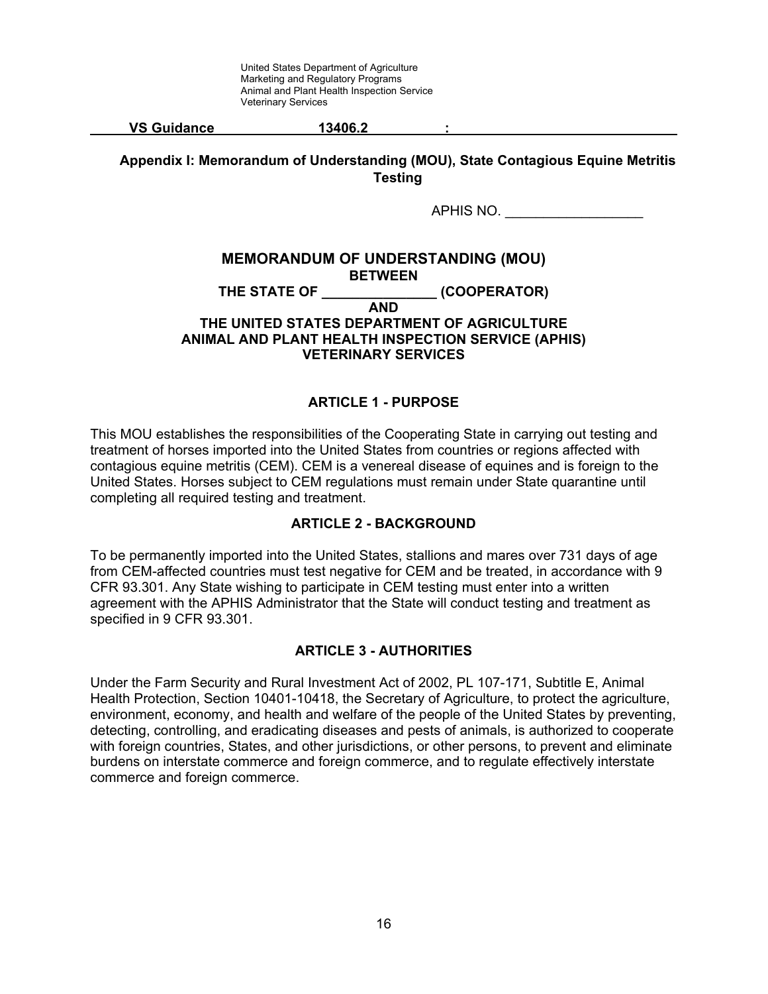| <b>VS Guidance</b> | 13406.2 |  |
|--------------------|---------|--|
|                    |         |  |

**Appendix I: Memorandum of Understanding (MOU), State Contagious Equine Metritis Testing**

APHIS NO.

#### **MEMORANDUM OF UNDERSTANDING (MOU) BETWEEN** THE STATE OF **EXAMPLE STATE OF STATE OF AND THE UNITED STATES DEPARTMENT OF AGRICULTURE ANIMAL AND PLANT HEALTH INSPECTION SERVICE (APHIS) VETERINARY SERVICES**

# **ARTICLE 1 - PURPOSE**

This MOU establishes the responsibilities of the Cooperating State in carrying out testing and treatment of horses imported into the United States from countries or regions affected with contagious equine metritis (CEM). CEM is a venereal disease of equines and is foreign to the United States. Horses subject to CEM regulations must remain under State quarantine until completing all required testing and treatment.

## **ARTICLE 2 - BACKGROUND**

To be permanently imported into the United States, stallions and mares over 731 days of age from CEM-affected countries must test negative for CEM and be treated, in accordance with 9 CFR 93.301. Any State wishing to participate in CEM testing must enter into a written agreement with the APHIS Administrator that the State will conduct testing and treatment as specified in 9 CFR 93.301.

#### **ARTICLE 3 - AUTHORITIES**

Under the Farm Security and Rural Investment Act of 2002, PL 107-171, Subtitle E, Animal Health Protection, Section 10401-10418, the Secretary of Agriculture, to protect the agriculture, environment, economy, and health and welfare of the people of the United States by preventing, detecting, controlling, and eradicating diseases and pests of animals, is authorized to cooperate with foreign countries, States, and other jurisdictions, or other persons, to prevent and eliminate burdens on interstate commerce and foreign commerce, and to regulate effectively interstate commerce and foreign commerce.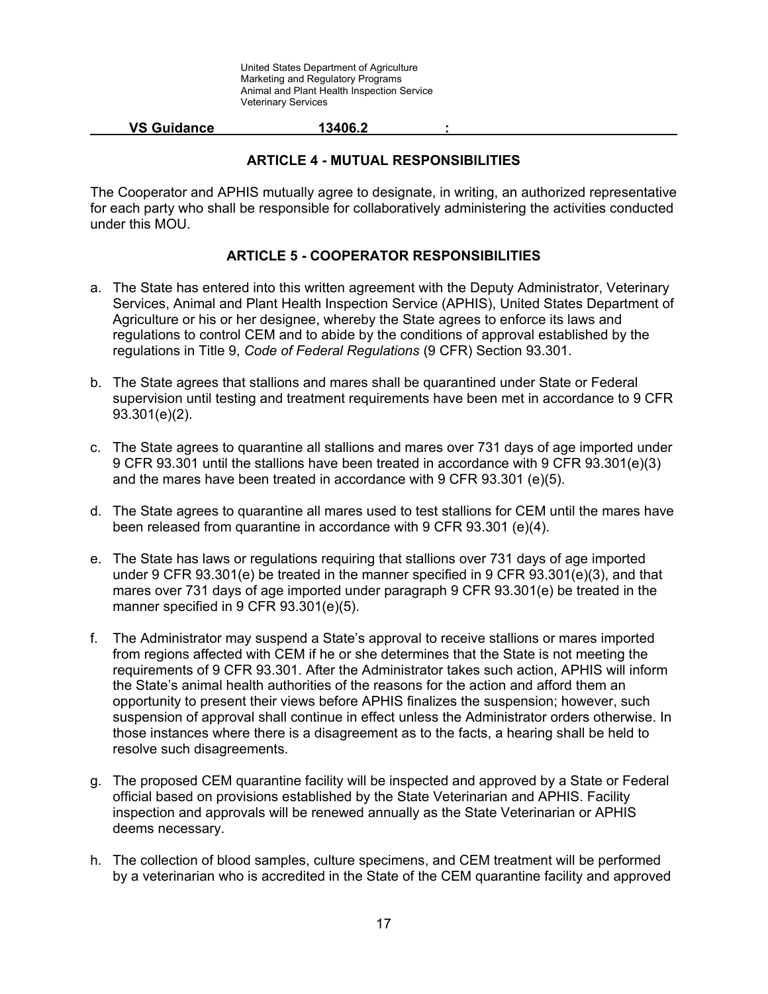#### **VS Guidance 13406.2 :**

### **ARTICLE 4 - MUTUAL RESPONSIBILITIES**

The Cooperator and APHIS mutually agree to designate, in writing, an authorized representative for each party who shall be responsible for collaboratively administering the activities conducted under this MOU.

# **ARTICLE 5 - COOPERATOR RESPONSIBILITIES**

- a. The State has entered into this written agreement with the Deputy Administrator, Veterinary Services, Animal and Plant Health Inspection Service (APHIS), United States Department of Agriculture or his or her designee, whereby the State agrees to enforce its laws and regulations to control CEM and to abide by the conditions of approval established by the regulations in Title 9, *Code of Federal Regulations* (9 CFR) Section 93.301.
- b. The State agrees that stallions and mares shall be quarantined under State or Federal supervision until testing and treatment requirements have been met in accordance to 9 CFR 93.301(e)(2).
- c. The State agrees to quarantine all stallions and mares over 731 days of age imported under 9 CFR 93.301 until the stallions have been treated in accordance with 9 CFR 93.301(e)(3) and the mares have been treated in accordance with 9 CFR 93.301 (e)(5).
- d. The State agrees to quarantine all mares used to test stallions for CEM until the mares have been released from quarantine in accordance with 9 CFR 93.301 (e)(4).
- e. The State has laws or regulations requiring that stallions over 731 days of age imported under 9 CFR 93.301(e) be treated in the manner specified in 9 CFR 93.301(e)(3), and that mares over 731 days of age imported under paragraph 9 CFR 93.301(e) be treated in the manner specified in 9 CFR 93.301(e)(5).
- f. The Administrator may suspend a State's approval to receive stallions or mares imported from regions affected with CEM if he or she determines that the State is not meeting the requirements of 9 CFR 93.301. After the Administrator takes such action, APHIS will inform the State's animal health authorities of the reasons for the action and afford them an opportunity to present their views before APHIS finalizes the suspension; however, such suspension of approval shall continue in effect unless the Administrator orders otherwise. In those instances where there is a disagreement as to the facts, a hearing shall be held to resolve such disagreements.
- g. The proposed CEM quarantine facility will be inspected and approved by a State or Federal official based on provisions established by the State Veterinarian and APHIS. Facility inspection and approvals will be renewed annually as the State Veterinarian or APHIS deems necessary.
- h. The collection of blood samples, culture specimens, and CEM treatment will be performed by a veterinarian who is accredited in the State of the CEM quarantine facility and approved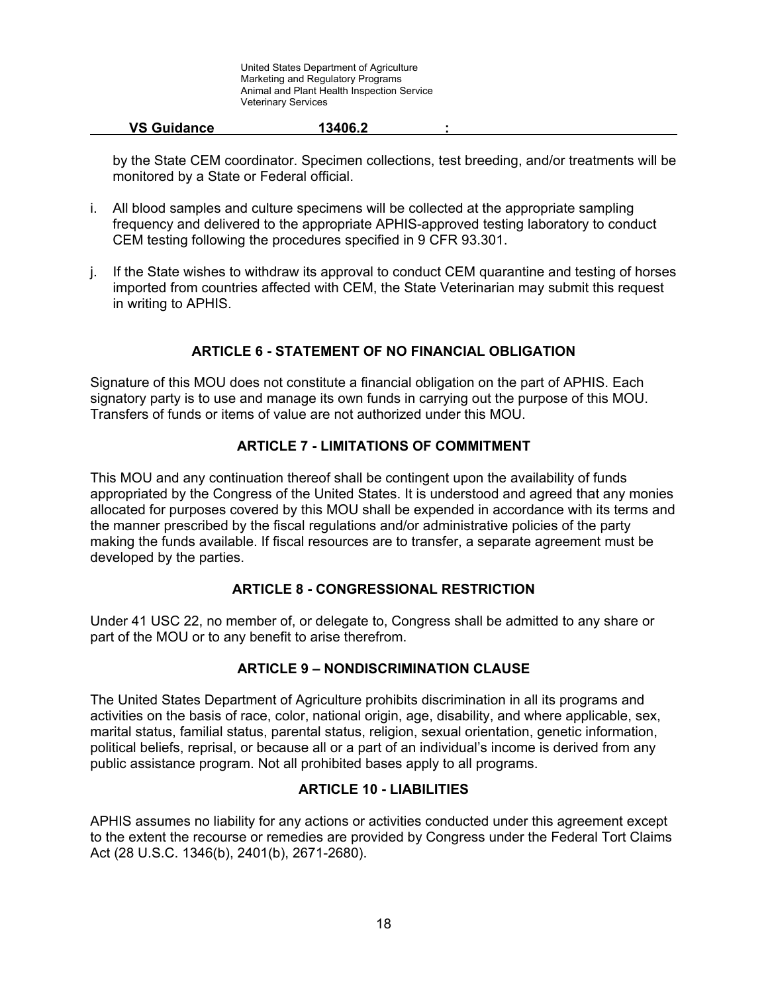| <b>VS Guidance</b> | 13406.2 |  |
|--------------------|---------|--|
|                    |         |  |

by the State CEM coordinator. Specimen collections, test breeding, and/or treatments will be monitored by a State or Federal official.

- i. All blood samples and culture specimens will be collected at the appropriate sampling frequency and delivered to the appropriate APHIS-approved testing laboratory to conduct CEM testing following the procedures specified in 9 CFR 93.301.
- j. If the State wishes to withdraw its approval to conduct CEM quarantine and testing of horses imported from countries affected with CEM, the State Veterinarian may submit this request in writing to APHIS.

### **ARTICLE 6 - STATEMENT OF NO FINANCIAL OBLIGATION**

Signature of this MOU does not constitute a financial obligation on the part of APHIS. Each signatory party is to use and manage its own funds in carrying out the purpose of this MOU. Transfers of funds or items of value are not authorized under this MOU.

### **ARTICLE 7 - LIMITATIONS OF COMMITMENT**

This MOU and any continuation thereof shall be contingent upon the availability of funds appropriated by the Congress of the United States. It is understood and agreed that any monies allocated for purposes covered by this MOU shall be expended in accordance with its terms and the manner prescribed by the fiscal regulations and/or administrative policies of the party making the funds available. If fiscal resources are to transfer, a separate agreement must be developed by the parties.

#### **ARTICLE 8 - CONGRESSIONAL RESTRICTION**

Under 41 USC 22, no member of, or delegate to, Congress shall be admitted to any share or part of the MOU or to any benefit to arise therefrom.

#### **ARTICLE 9 – NONDISCRIMINATION CLAUSE**

The United States Department of Agriculture prohibits discrimination in all its programs and activities on the basis of race, color, national origin, age, disability, and where applicable, sex, marital status, familial status, parental status, religion, sexual orientation, genetic information, political beliefs, reprisal, or because all or a part of an individual's income is derived from any public assistance program. Not all prohibited bases apply to all programs.

### **ARTICLE 10 - LIABILITIES**

APHIS assumes no liability for any actions or activities conducted under this agreement except to the extent the recourse or remedies are provided by Congress under the Federal Tort Claims Act (28 U.S.C. 1346(b), 2401(b), 2671-2680).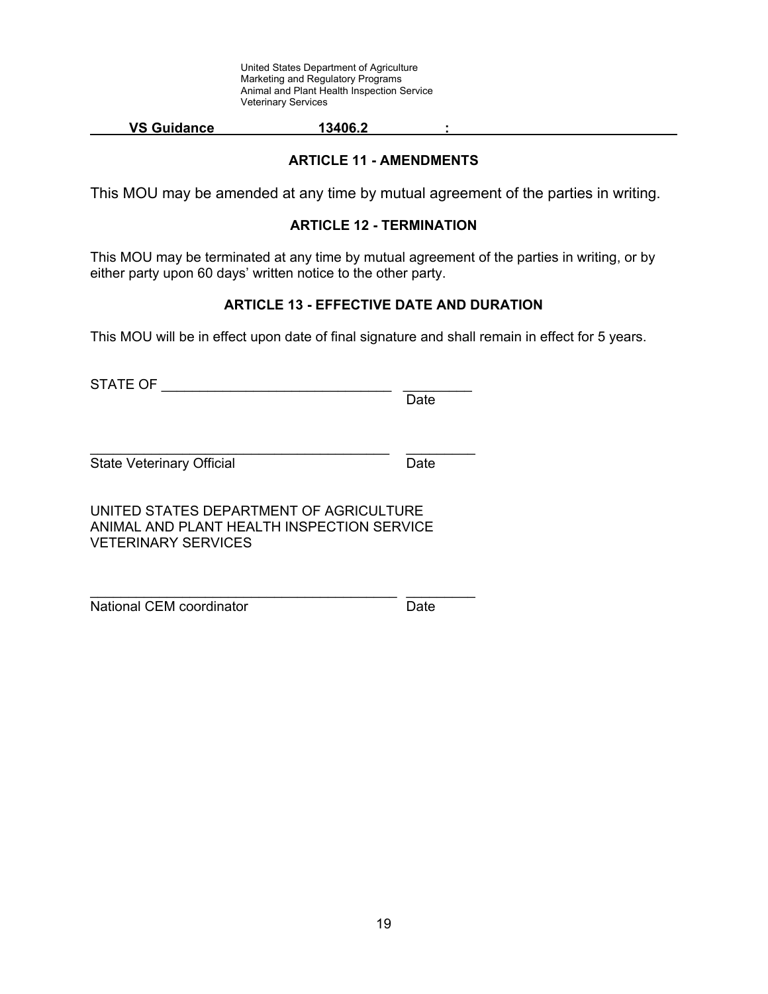#### **VS Guidance 13406.2 :**

## **ARTICLE 11 - AMENDMENTS**

This MOU may be amended at any time by mutual agreement of the parties in writing.

#### **ARTICLE 12 - TERMINATION**

This MOU may be terminated at any time by mutual agreement of the parties in writing, or by either party upon 60 days' written notice to the other party.

## **ARTICLE 13 - EFFECTIVE DATE AND DURATION**

This MOU will be in effect upon date of final signature and shall remain in effect for 5 years.

STATE OF **EXECUTE OF LIGHT** 

State Veterinary Official **Date** Date

Date

UNITED STATES DEPARTMENT OF AGRICULTURE ANIMAL AND PLANT HEALTH INSPECTION SERVICE VETERINARY SERVICES

\_\_\_\_\_\_\_\_\_\_\_\_\_\_\_\_\_\_\_\_\_\_\_\_\_\_\_\_\_\_\_\_\_\_\_\_\_\_\_ \_\_\_\_\_\_\_\_\_

National CEM coordinator **Date** 

\_\_\_\_\_\_\_\_\_\_\_\_\_\_\_\_\_\_\_\_\_\_\_\_\_\_\_\_\_\_\_\_\_\_\_\_\_\_\_\_ \_\_\_\_\_\_\_\_\_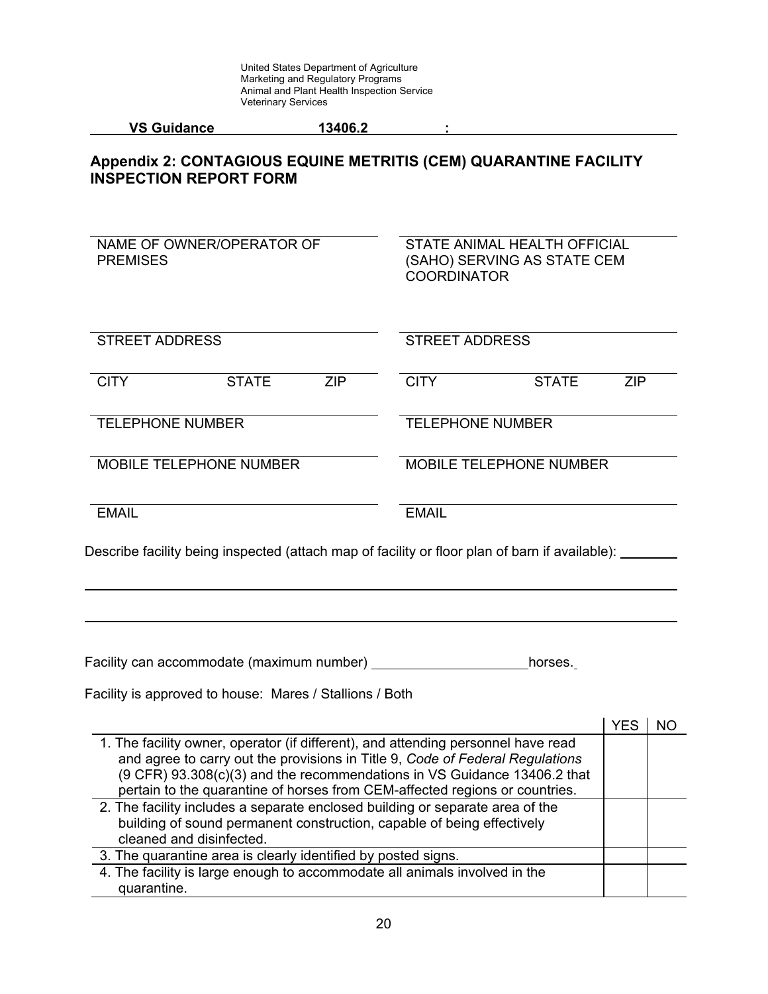# **Appendix 2: CONTAGIOUS EQUINE METRITIS (CEM) QUARANTINE FACILITY INSPECTION REPORT FORM**

| NAME OF OWNER/OPERATOR OF<br><b>PREMISES</b>                                                                                                                                                                                                                                                                                  | STATE ANIMAL HEALTH OFFICIAL<br>(SAHO) SERVING AS STATE CEM<br><b>COORDINATOR</b> |            |           |  |  |
|-------------------------------------------------------------------------------------------------------------------------------------------------------------------------------------------------------------------------------------------------------------------------------------------------------------------------------|-----------------------------------------------------------------------------------|------------|-----------|--|--|
| <b>STREET ADDRESS</b>                                                                                                                                                                                                                                                                                                         | <b>STREET ADDRESS</b>                                                             |            |           |  |  |
| <b>CITY</b><br><b>STATE</b><br><b>ZIP</b>                                                                                                                                                                                                                                                                                     | <b>CITY</b><br><b>STATE</b>                                                       | <b>ZIP</b> |           |  |  |
| <b>TELEPHONE NUMBER</b>                                                                                                                                                                                                                                                                                                       | <b>TELEPHONE NUMBER</b>                                                           |            |           |  |  |
| <b>MOBILE TELEPHONE NUMBER</b>                                                                                                                                                                                                                                                                                                | MOBILE TELEPHONE NUMBER                                                           |            |           |  |  |
| <b>EMAIL</b>                                                                                                                                                                                                                                                                                                                  | <b>EMAIL</b>                                                                      |            |           |  |  |
|                                                                                                                                                                                                                                                                                                                               |                                                                                   |            |           |  |  |
|                                                                                                                                                                                                                                                                                                                               | horses.                                                                           |            |           |  |  |
| Facility is approved to house: Mares / Stallions / Both                                                                                                                                                                                                                                                                       |                                                                                   |            |           |  |  |
| 1. The facility owner, operator (if different), and attending personnel have read<br>and agree to carry out the provisions in Title 9, Code of Federal Regulations<br>(9 CFR) 93.308(c)(3) and the recommendations in VS Guidance 13406.2 that<br>pertain to the quarantine of horses from CEM-affected regions or countries. |                                                                                   | <b>YES</b> | <b>NO</b> |  |  |
| 2. The facility includes a separate enclosed building or separate area of the<br>building of sound permanent construction, capable of being effectively<br>cleaned and disinfected.                                                                                                                                           |                                                                                   |            |           |  |  |
| 3. The quarantine area is clearly identified by posted signs.<br>4. The facility is large enough to accommodate all animals involved in the                                                                                                                                                                                   |                                                                                   |            |           |  |  |
| quarantine.                                                                                                                                                                                                                                                                                                                   |                                                                                   |            |           |  |  |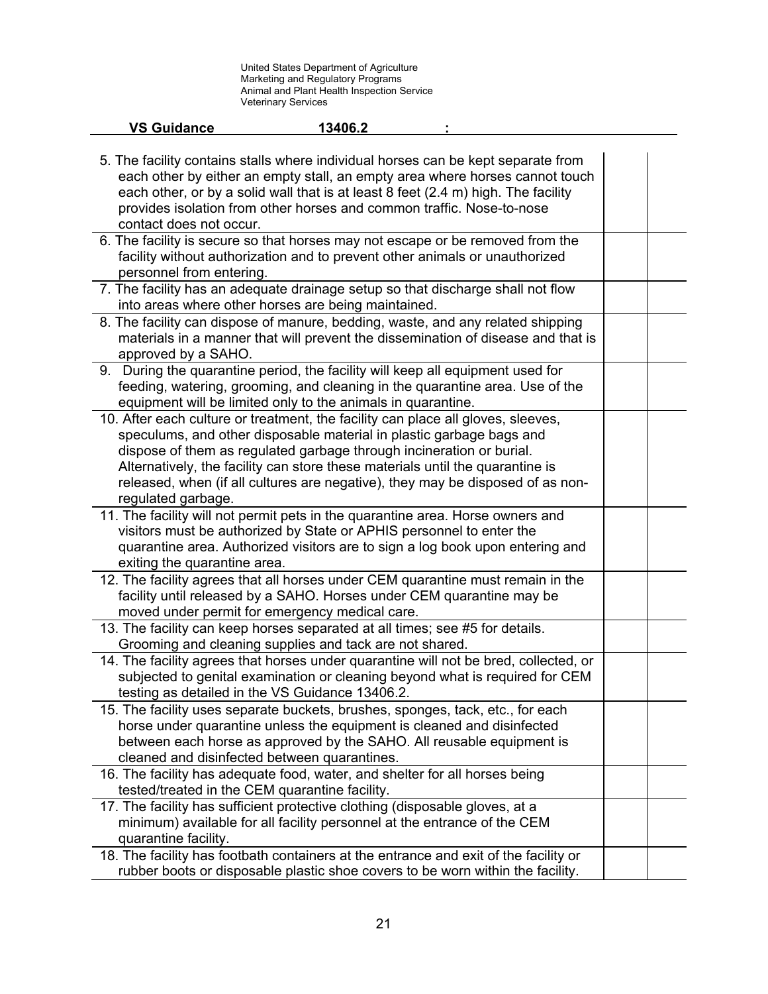| <b>VS Guidance</b>                                                                                                                                                                                                                                                                                                                                                                                                        | 13406.2 |  |  |
|---------------------------------------------------------------------------------------------------------------------------------------------------------------------------------------------------------------------------------------------------------------------------------------------------------------------------------------------------------------------------------------------------------------------------|---------|--|--|
| 5. The facility contains stalls where individual horses can be kept separate from<br>each other by either an empty stall, an empty area where horses cannot touch<br>each other, or by a solid wall that is at least 8 feet (2.4 m) high. The facility<br>provides isolation from other horses and common traffic. Nose-to-nose<br>contact does not occur.                                                                |         |  |  |
| 6. The facility is secure so that horses may not escape or be removed from the<br>facility without authorization and to prevent other animals or unauthorized<br>personnel from entering.                                                                                                                                                                                                                                 |         |  |  |
| 7. The facility has an adequate drainage setup so that discharge shall not flow<br>into areas where other horses are being maintained.                                                                                                                                                                                                                                                                                    |         |  |  |
| 8. The facility can dispose of manure, bedding, waste, and any related shipping<br>materials in a manner that will prevent the dissemination of disease and that is<br>approved by a SAHO.                                                                                                                                                                                                                                |         |  |  |
| 9. During the quarantine period, the facility will keep all equipment used for<br>feeding, watering, grooming, and cleaning in the quarantine area. Use of the<br>equipment will be limited only to the animals in quarantine.                                                                                                                                                                                            |         |  |  |
| 10. After each culture or treatment, the facility can place all gloves, sleeves,<br>speculums, and other disposable material in plastic garbage bags and<br>dispose of them as regulated garbage through incineration or burial.<br>Alternatively, the facility can store these materials until the quarantine is<br>released, when (if all cultures are negative), they may be disposed of as non-<br>regulated garbage. |         |  |  |
| 11. The facility will not permit pets in the quarantine area. Horse owners and<br>visitors must be authorized by State or APHIS personnel to enter the<br>quarantine area. Authorized visitors are to sign a log book upon entering and<br>exiting the quarantine area.                                                                                                                                                   |         |  |  |
| 12. The facility agrees that all horses under CEM quarantine must remain in the<br>facility until released by a SAHO. Horses under CEM quarantine may be<br>moved under permit for emergency medical care.                                                                                                                                                                                                                |         |  |  |
| 13. The facility can keep horses separated at all times; see #5 for details.<br>Grooming and cleaning supplies and tack are not shared.                                                                                                                                                                                                                                                                                   |         |  |  |
| 14. The facility agrees that horses under quarantine will not be bred, collected, or<br>subjected to genital examination or cleaning beyond what is required for CEM<br>testing as detailed in the VS Guidance 13406.2.                                                                                                                                                                                                   |         |  |  |
| 15. The facility uses separate buckets, brushes, sponges, tack, etc., for each<br>horse under quarantine unless the equipment is cleaned and disinfected<br>between each horse as approved by the SAHO. All reusable equipment is<br>cleaned and disinfected between quarantines.                                                                                                                                         |         |  |  |
| 16. The facility has adequate food, water, and shelter for all horses being<br>tested/treated in the CEM quarantine facility.                                                                                                                                                                                                                                                                                             |         |  |  |
| 17. The facility has sufficient protective clothing (disposable gloves, at a<br>minimum) available for all facility personnel at the entrance of the CEM<br>quarantine facility.                                                                                                                                                                                                                                          |         |  |  |
| 18. The facility has footbath containers at the entrance and exit of the facility or<br>rubber boots or disposable plastic shoe covers to be worn within the facility.                                                                                                                                                                                                                                                    |         |  |  |